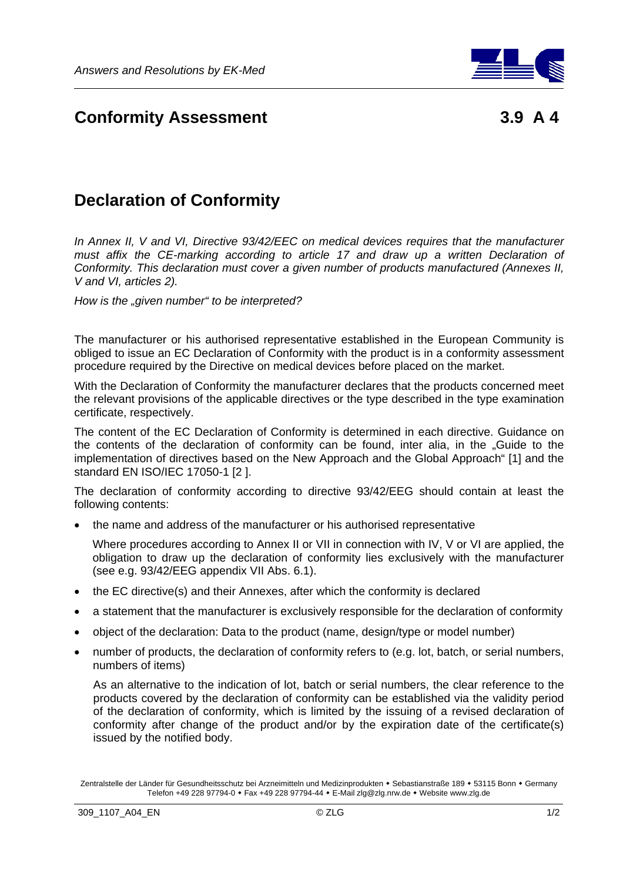

## **Conformity Assessment** 3.9 A 4

## **Declaration of Conformity**

*In Annex II, V and VI, Directive 93/42/EEC on medical devices requires that the manufacturer*  must affix the CE-marking according to article 17 and draw up a written Declaration of *Conformity. This declaration must cover a given number of products manufactured (Annexes II, V and VI, articles 2).* 

*How is the "given number" to be interpreted?* 

The manufacturer or his authorised representative established in the European Community is obliged to issue an EC Declaration of Conformity with the product is in a conformity assessment procedure required by the Directive on medical devices before placed on the market.

With the Declaration of Conformity the manufacturer declares that the products concerned meet the relevant provisions of the applicable directives or the type described in the type examination certificate, respectively.

The content of the EC Declaration of Conformity is determined in each directive. Guidance on the contents of the declaration of conformity can be found, inter alia, in the "Guide to the implementation of directives based on the New Approach and the Global Approach" [1] and the standard EN ISO/IEC 17050-1 [2 ].

The declaration of conformity according to directive 93/42/EEG should contain at least the following contents:

• the name and address of the manufacturer or his authorised representative

Where procedures according to Annex II or VII in connection with IV, V or VI are applied, the obligation to draw up the declaration of conformity lies exclusively with the manufacturer (see e.g. 93/42/EEG appendix VII Abs. 6.1).

- the EC directive(s) and their Annexes, after which the conformity is declared
- a statement that the manufacturer is exclusively responsible for the declaration of conformity
- object of the declaration: Data to the product (name, design/type or model number)
- number of products, the declaration of conformity refers to (e.g. lot, batch, or serial numbers, numbers of items)

As an alternative to the indication of lot, batch or serial numbers, the clear reference to the products covered by the declaration of conformity can be established via the validity period of the declaration of conformity, which is limited by the issuing of a revised declaration of conformity after change of the product and/or by the expiration date of the certificate(s) issued by the notified body.

Zentralstelle der Länder für Gesundheitsschutz bei Arzneimitteln und Medizinprodukten • Sebastianstraße 189 • 53115 Bonn • Germany Telefon +49 228 97794-0  $\bullet$  Fax +49 228 97794-44  $\bullet$  E-Mail zlg@zlg.nrw.de  $\bullet$  Website<www.zlg.de>